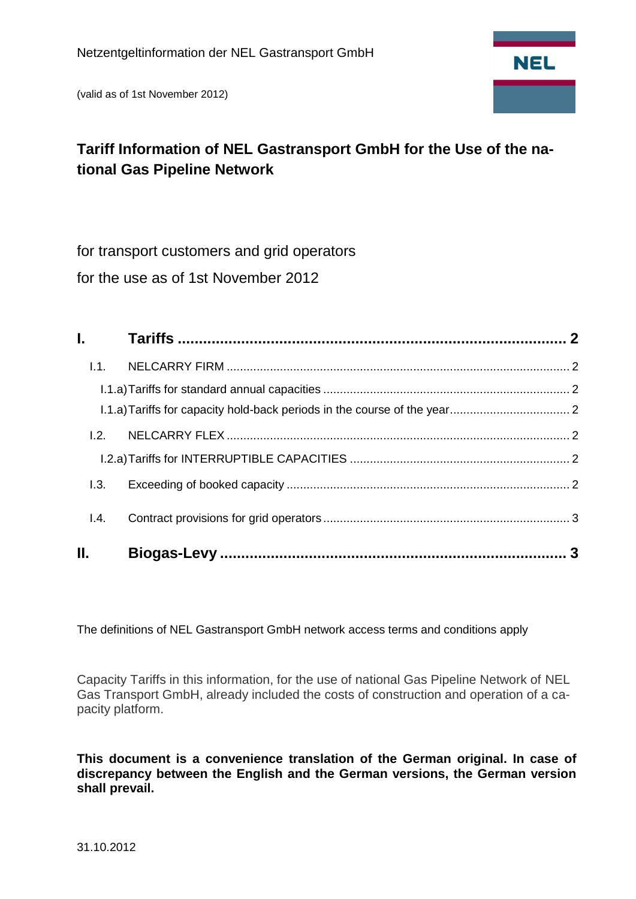(valid as of 1st November 2012)



# **Tariff Information of NEL Gastransport GmbH for the Use of the national Gas Pipeline Network**

for transport customers and grid operators

for the use as of 1st November 2012

| 1.1.            |  |
|-----------------|--|
|                 |  |
|                 |  |
| 1.2.            |  |
|                 |  |
| 1.3.            |  |
| $\mathsf{I}4$ . |  |
| Н.              |  |

The definitions of NEL Gastransport GmbH network access terms and conditions apply

Capacity Tariffs in this information, for the use of national Gas Pipeline Network of NEL Gas Transport GmbH, already included the costs of construction and operation of a capacity platform.

**This document is a convenience translation of the German original. In case of discrepancy between the English and the German versions, the German version shall prevail.**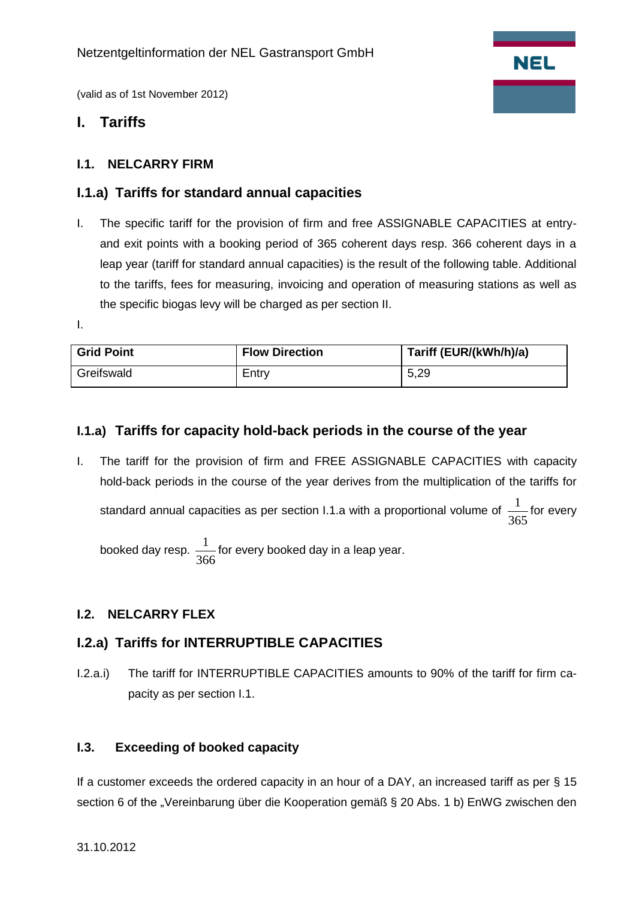

(valid as of 1st November 2012)

# <span id="page-1-0"></span>**I. Tariffs**

#### <span id="page-1-1"></span>**I.1. NELCARRY FIRM**

#### <span id="page-1-2"></span>**I.1.a) Tariffs for standard annual capacities**

I. The specific tariff for the provision of firm and free ASSIGNABLE CAPACITIES at entryand exit points with a booking period of 365 coherent days resp. 366 coherent days in a leap year (tariff for standard annual capacities) is the result of the following table. Additional to the tariffs, fees for measuring, invoicing and operation of measuring stations as well as the specific biogas levy will be charged as per section II.

I.

| <b>Grid Point</b> | <b>Flow Direction</b> | Tariff (EUR/(kWh/h)/a) |
|-------------------|-----------------------|------------------------|
| Greifswald        | Entrv                 | 5,29                   |

## <span id="page-1-3"></span>**I.1.a) Tariffs for capacity hold-back periods in the course of the year**

I. The tariff for the provision of firm and FREE ASSIGNABLE CAPACITIES with capacity hold-back periods in the course of the year derives from the multiplication of the tariffs for standard annual capacities as per section I.1.a with a proportional volume of 365  $\frac{1}{\sqrt{2}}$  for every

booked day resp. 366  $\frac{1}{\epsilon}$  for every booked day in a leap year.

## <span id="page-1-4"></span>**I.2. NELCARRY FLEX**

## <span id="page-1-5"></span>**I.2.a) Tariffs for INTERRUPTIBLE CAPACITIES**

I.2.a.i) The tariff for INTERRUPTIBLE CAPACITIES amounts to 90% of the tariff for firm capacity as per section I.1.

#### <span id="page-1-6"></span>**I.3. Exceeding of booked capacity**

If a customer exceeds the ordered capacity in an hour of a DAY, an increased tariff as per § 15 section 6 of the "Vereinbarung über die Kooperation gemäß § 20 Abs. 1 b) EnWG zwischen den